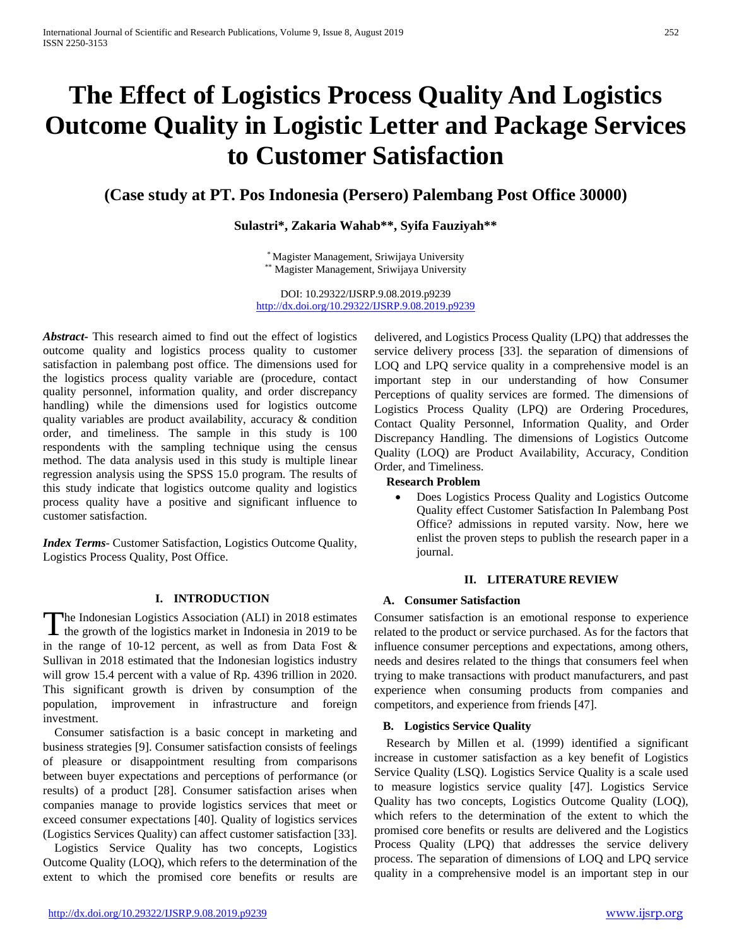# **The Effect of Logistics Process Quality And Logistics Outcome Quality in Logistic Letter and Package Services to Customer Satisfaction**

## **(Case study at PT. Pos Indonesia (Persero) Palembang Post Office 30000)**

## **Sulastri\*, Zakaria Wahab\*\*, Syifa Fauziyah\*\***

\* Magister Management, Sriwijaya University \*\* Magister Management, Sriwijaya University

DOI: 10.29322/IJSRP.9.08.2019.p9239 <http://dx.doi.org/10.29322/IJSRP.9.08.2019.p9239>

*Abstract***-** This research aimed to find out the effect of logistics outcome quality and logistics process quality to customer satisfaction in palembang post office. The dimensions used for the logistics process quality variable are (procedure, contact quality personnel, information quality, and order discrepancy handling) while the dimensions used for logistics outcome quality variables are product availability, accuracy & condition order, and timeliness. The sample in this study is 100 respondents with the sampling technique using the census method. The data analysis used in this study is multiple linear regression analysis using the SPSS 15.0 program. The results of this study indicate that logistics outcome quality and logistics process quality have a positive and significant influence to customer satisfaction.

*Index Terms*- Customer Satisfaction, Logistics Outcome Quality, Logistics Process Quality, Post Office.

## **I. INTRODUCTION**

he Indonesian Logistics Association (ALI) in 2018 estimates The Indonesian Logistics Association (ALI) in 2018 estimates<br>the growth of the logistics market in Indonesia in 2019 to be in the range of 10-12 percent, as well as from Data Fost  $\&$ Sullivan in 2018 estimated that the Indonesian logistics industry will grow 15.4 percent with a value of Rp. 4396 trillion in 2020. This significant growth is driven by consumption of the population, improvement in infrastructure and foreign investment.

Consumer satisfaction is a basic concept in marketing and business strategies [9]. Consumer satisfaction consists of feelings of pleasure or disappointment resulting from comparisons between buyer expectations and perceptions of performance (or results) of a product [28]. Consumer satisfaction arises when companies manage to provide logistics services that meet or exceed consumer expectations [40]. Quality of logistics services (Logistics Services Quality) can affect customer satisfaction [33].

Logistics Service Quality has two concepts, Logistics Outcome Quality (LOQ), which refers to the determination of the extent to which the promised core benefits or results are

delivered, and Logistics Process Quality (LPQ) that addresses the service delivery process [33]. the separation of dimensions of LOQ and LPQ service quality in a comprehensive model is an important step in our understanding of how Consumer Perceptions of quality services are formed. The dimensions of Logistics Process Quality (LPQ) are Ordering Procedures, Contact Quality Personnel, Information Quality, and Order Discrepancy Handling. The dimensions of Logistics Outcome Quality (LOQ) are Product Availability, Accuracy, Condition Order, and Timeliness.

## **Research Problem**

• Does Logistics Process Quality and Logistics Outcome Quality effect Customer Satisfaction In Palembang Post Office? admissions in reputed varsity. Now, here we enlist the proven steps to publish the research paper in a journal.

## **II. LITERATURE REVIEW**

## **A. Consumer Satisfaction**

Consumer satisfaction is an emotional response to experience related to the product or service purchased. As for the factors that influence consumer perceptions and expectations, among others, needs and desires related to the things that consumers feel when trying to make transactions with product manufacturers, and past experience when consuming products from companies and competitors, and experience from friends [47].

## **B. Logistics Service Quality**

Research by Millen et al. (1999) identified a significant increase in customer satisfaction as a key benefit of Logistics Service Quality (LSQ). Logistics Service Quality is a scale used to measure logistics service quality [47]. Logistics Service Quality has two concepts, Logistics Outcome Quality (LOQ), which refers to the determination of the extent to which the promised core benefits or results are delivered and the Logistics Process Quality (LPQ) that addresses the service delivery process. The separation of dimensions of LOQ and LPQ service quality in a comprehensive model is an important step in our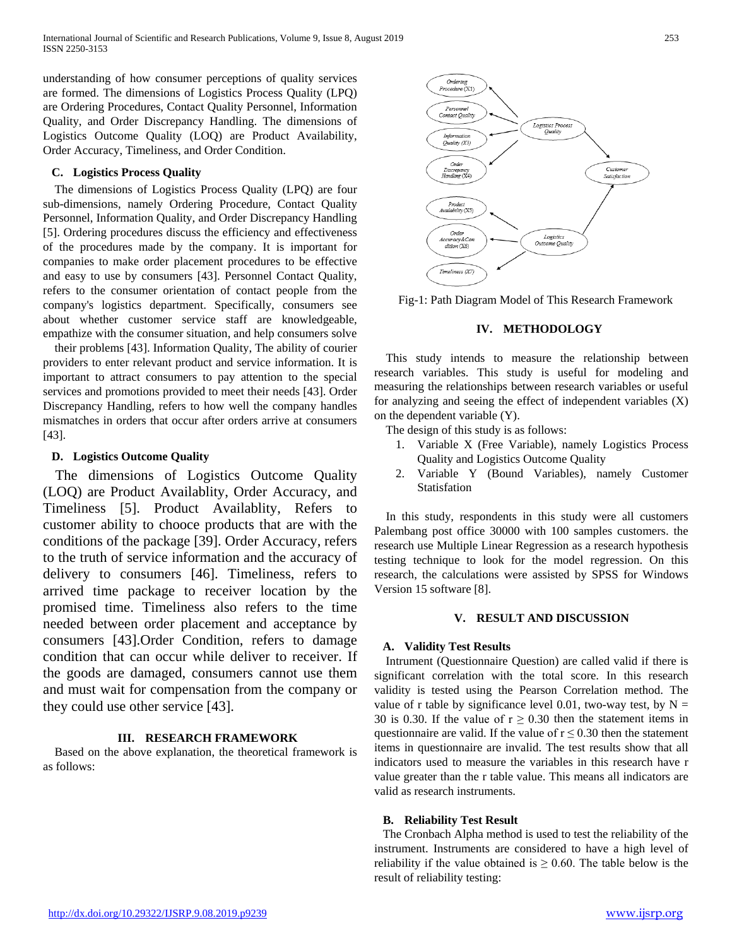understanding of how consumer perceptions of quality services are formed. The dimensions of Logistics Process Quality (LPQ) are Ordering Procedures, Contact Quality Personnel, Information Quality, and Order Discrepancy Handling. The dimensions of Logistics Outcome Quality (LOQ) are Product Availability, Order Accuracy, Timeliness, and Order Condition.

## **C. Logistics Process Quality**

The dimensions of Logistics Process Quality (LPQ) are four sub-dimensions, namely Ordering Procedure, Contact Quality Personnel, Information Quality, and Order Discrepancy Handling [5]. Ordering procedures discuss the efficiency and effectiveness of the procedures made by the company. It is important for companies to make order placement procedures to be effective and easy to use by consumers [43]. Personnel Contact Quality, refers to the consumer orientation of contact people from the company's logistics department. Specifically, consumers see about whether customer service staff are knowledgeable, empathize with the consumer situation, and help consumers solve

their problems [43]. Information Quality, The ability of courier providers to enter relevant product and service information. It is important to attract consumers to pay attention to the special services and promotions provided to meet their needs [43]. Order Discrepancy Handling, refers to how well the company handles mismatches in orders that occur after orders arrive at consumers [43].

## **D. Logistics Outcome Quality**

The dimensions of Logistics Outcome Quality (LOQ) are Product Availablity, Order Accuracy, and Timeliness [5]. Product Availablity, Refers to customer ability to chooce products that are with the conditions of the package [39]. Order Accuracy, refers to the truth of service information and the accuracy of delivery to consumers [46]. Timeliness, refers to arrived time package to receiver location by the promised time. Timeliness also refers to the time needed between order placement and acceptance by consumers [43].Order Condition, refers to damage condition that can occur while deliver to receiver. If the goods are damaged, consumers cannot use them and must wait for compensation from the company or they could use other service [43].

## **III. RESEARCH FRAMEWORK**

Based on the above explanation, the theoretical framework is as follows:



Fig-1: Path Diagram Model of This Research Framework

## **IV. METHODOLOGY**

This study intends to measure the relationship between research variables. This study is useful for modeling and measuring the relationships between research variables or useful for analyzing and seeing the effect of independent variables (X) on the dependent variable (Y).

- The design of this study is as follows:
	- 1. Variable X (Free Variable), namely Logistics Process Quality and Logistics Outcome Quality
	- 2. Variable Y (Bound Variables), namely Customer Statisfation

In this study, respondents in this study were all customers Palembang post office 30000 with 100 samples customers. the research use Multiple Linear Regression as a research hypothesis testing technique to look for the model regression. On this research, the calculations were assisted by SPSS for Windows Version 15 software [8].

#### **V. RESULT AND DISCUSSION**

## **A. Validity Test Results**

Intrument (Questionnaire Question) are called valid if there is significant correlation with the total score. In this research validity is tested using the Pearson Correlation method. The value of r table by significance level 0.01, two-way test, by  $N =$ 30 is 0.30. If the value of  $r \ge 0.30$  then the statement items in questionnaire are valid. If the value of  $r \leq 0.30$  then the statement items in questionnaire are invalid. The test results show that all indicators used to measure the variables in this research have r value greater than the r table value. This means all indicators are valid as research instruments.

#### **B. Reliability Test Result**

The Cronbach Alpha method is used to test the reliability of the instrument. Instruments are considered to have a high level of reliability if the value obtained is  $\geq 0.60$ . The table below is the result of reliability testing: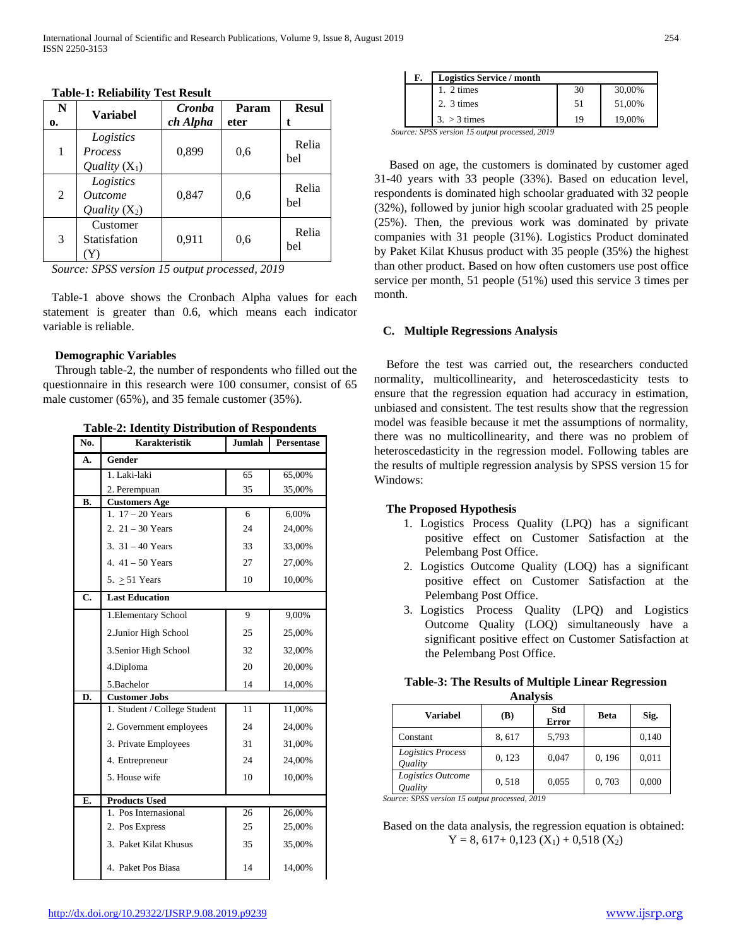| N  | <b>Variabel</b>                                       | Cronba   | Param | <b>Resul</b> |
|----|-------------------------------------------------------|----------|-------|--------------|
| 0. |                                                       | ch Alpha | eter  |              |
| 1  | Logistics<br><b>Process</b><br>Quality $(X_1)$        | 0,899    | 0.6   | Relia<br>bel |
| 2  | Logistics<br><i><u>Outcome</u></i><br>Quality $(X_2)$ | 0,847    | 0,6   | Relia<br>bel |
| 3  | Customer<br>Statisfation                              | 0,911    | 0,6   | Relia<br>bel |

#### **Table-1: Reliability Test Result**

*Source: SPSS version 15 output processed, 2019*

Table-1 above shows the Cronbach Alpha values for each statement is greater than 0.6, which means each indicator variable is reliable.

#### **Demographic Variables**

Through table-2, the number of respondents who filled out the questionnaire in this research were 100 consumer, consist of 65 male customer (65%), and 35 female customer (35%).

**Table-2: Identity Distribution of Respondents**

| No.                       | <b>Karakteristik</b>         | Jumlah | Persentase |
|---------------------------|------------------------------|--------|------------|
| A.                        | Gender                       |        |            |
|                           | 1. Laki-laki                 | 65     | 65,00%     |
|                           | 2. Perempuan                 | 35     | 35,00%     |
| В.                        | <b>Customers Age</b>         |        |            |
|                           | 1. $17 - 20$ Years           | 6      | 6,00%      |
|                           | 2. $21 - 30$ Years           | 24     | 24,00%     |
|                           | 3. $31 - 40$ Years           | 33     | 33,00%     |
|                           | 4. $41 - 50$ Years           | 27     | 27,00%     |
|                           | 5. $\geq$ 51 Years           | 10     | 10,00%     |
| $\overline{\mathbf{C}}$ . | <b>Last Education</b>        |        |            |
|                           | 1. Elementary School         | 9      | 9,00%      |
|                           | 2. Junior High School        | 25     | 25,00%     |
|                           | 3. Senior High School        | 32     | 32,00%     |
|                           | 4.Diploma                    | 20     | 20,00%     |
|                           | 5.Bachelor                   | 14     | 14,00%     |
| D.                        | <b>Customer Jobs</b>         |        |            |
|                           | 1. Student / College Student | 11     | 11,00%     |
|                           | 2. Government employees      | 24     | 24,00%     |
|                           | 3. Private Employees         | 31     | 31,00%     |
|                           | 4. Entrepreneur              | 24     | 24,00%     |
|                           | 5. House wife                | 10     | 10,00%     |
| E.                        | <b>Products Used</b>         |        |            |
|                           | 1. Pos Internasional         | 26     | 26,00%     |
|                           | 2. Pos Express               | 25     | 25,00%     |
|                           | 3. Paket Kilat Khusus        | 35     | 35,00%     |
|                           | 4. Paket Pos Biasa           | 14     | 14,00%     |

| F. | <b>Logistics Service / month</b> |    |        |
|----|----------------------------------|----|--------|
|    | 1. $2 \times$                    | 30 | 30,00% |
|    | 2. 3 times                       | 51 | 51,00% |
|    | $3. > 3 \times$                  | 19 | 19,00% |

*Source: SPSS version 15 output processed, 2019*

Based on age, the customers is dominated by customer aged 31-40 years with 33 people (33%). Based on education level, respondents is dominated high schoolar graduated with 32 people (32%), followed by junior high scoolar graduated with 25 people (25%). Then, the previous work was dominated by private companies with 31 people (31%). Logistics Product dominated by Paket Kilat Khusus product with 35 people (35%) the highest than other product. Based on how often customers use post office service per month, 51 people (51%) used this service 3 times per month.

#### **C. Multiple Regressions Analysis**

Before the test was carried out, the researchers conducted normality, multicollinearity, and heteroscedasticity tests to ensure that the regression equation had accuracy in estimation, unbiased and consistent. The test results show that the regression model was feasible because it met the assumptions of normality, there was no multicollinearity, and there was no problem of heteroscedasticity in the regression model. Following tables are the results of multiple regression analysis by SPSS version 15 for Windows:

#### **The Proposed Hypothesis**

- 1. Logistics Process Quality (LPQ) has a significant positive effect on Customer Satisfaction at the Pelembang Post Office.
- 2. Logistics Outcome Quality (LOQ) has a significant positive effect on Customer Satisfaction at the Pelembang Post Office.
- 3. Logistics Process Quality (LPQ) and Logistics Outcome Quality (LOQ) simultaneously have a significant positive effect on Customer Satisfaction at the Pelembang Post Office.

| <b>Table-3: The Results of Multiple Linear Regression</b> |
|-----------------------------------------------------------|
| <b>Analysis</b>                                           |

| Variabel                                   | (B)    | Std<br><b>Error</b> | Beta   | Sig.  |  |  |  |
|--------------------------------------------|--------|---------------------|--------|-------|--|--|--|
| Constant                                   | 8,617  | 5,793               |        | 0,140 |  |  |  |
| Logistics Process<br><i><b>Ouality</b></i> | 0, 123 | 0,047               | 0, 196 | 0,011 |  |  |  |
| Logistics Outcome<br>Ouality               | 0.518  | 0,055               | 0,703  | 0.000 |  |  |  |

*Source: SPSS version 15 output processed, 2019*

Based on the data analysis, the regression equation is obtained:  $Y = 8, 617 + 0,123 (X_1) + 0,518 (X_2)$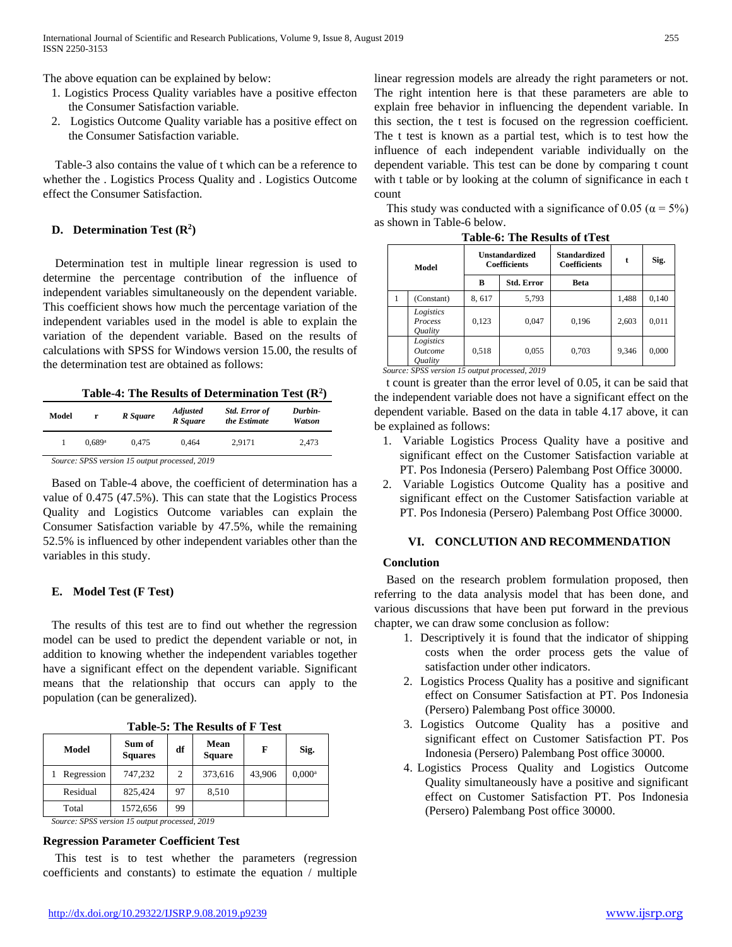The above equation can be explained by below:

- 1. Logistics Process Quality variables have a positive effecton the Consumer Satisfaction variable.
- 2. Logistics Outcome Quality variable has a positive effect on the Consumer Satisfaction variable.

Table-3 also contains the value of t which can be a reference to whether the . Logistics Process Quality and . Logistics Outcome effect the Consumer Satisfaction.

## **D. Determination Test**  $(R^2)$

Determination test in multiple linear regression is used to determine the percentage contribution of the influence of independent variables simultaneously on the dependent variable. This coefficient shows how much the percentage variation of the independent variables used in the model is able to explain the variation of the dependent variable. Based on the results of calculations with SPSS for Windows version 15.00, the results of the determination test are obtained as follows:

**Table-4: The Results of Determination Test (R2 )**

| Model | r                    | R Square | <b>Std. Error of</b><br><b>Adjusted</b><br>the Estimate<br>R Square |        | Durbin-<br>Watson |
|-------|----------------------|----------|---------------------------------------------------------------------|--------|-------------------|
|       | $0.689$ <sup>a</sup> | 0.475    | 0.464                                                               | 2.9171 | 2,473             |
|       |                      |          | $\alpha$ and $\alpha$ is a set and $\alpha$                         |        |                   |

*Source: SPSS version 15 output processed, 2019*

Based on Table-4 above, the coefficient of determination has a value of 0.475 (47.5%). This can state that the Logistics Process Quality and Logistics Outcome variables can explain the Consumer Satisfaction variable by 47.5%, while the remaining 52.5% is influenced by other independent variables other than the variables in this study.

## **E. Model Test (F Test)**

The results of this test are to find out whether the regression model can be used to predict the dependent variable or not, in addition to knowing whether the independent variables together have a significant effect on the dependent variable. Significant means that the relationship that occurs can apply to the population (can be generalized).

| Table-5: The Results of F Test |  |  |  |  |  |
|--------------------------------|--|--|--|--|--|
|--------------------------------|--|--|--|--|--|

| Model      | Sum of<br><b>Squares</b> | df | Mean<br><b>Square</b> | F      | Sig.      |
|------------|--------------------------|----|-----------------------|--------|-----------|
| Regression | 747,232                  | 2  | 373,616               | 43,906 | $0.000^a$ |
| Residual   | 825,424                  | 97 | 8,510                 |        |           |
| Total      | 1572,656                 | 99 |                       |        |           |

*Source: SPSS version 15 output processed, 2019*

#### **Regression Parameter Coefficient Test**

This test is to test whether the parameters (regression coefficients and constants) to estimate the equation / multiple linear regression models are already the right parameters or not. The right intention here is that these parameters are able to explain free behavior in influencing the dependent variable. In this section, the t test is focused on the regression coefficient. The t test is known as a partial test, which is to test how the influence of each independent variable individually on the dependent variable. This test can be done by comparing t count with t table or by looking at the column of significance in each t count

This study was conducted with a significance of 0.05 ( $\alpha = 5\%$ ) as shown in Table-6 below.

| Model |                                                                    | <b>Unstandardized</b><br><b>Coefficients</b> |                   | <b>Standardized</b><br><b>Coefficients</b> | t     | Sig.  |
|-------|--------------------------------------------------------------------|----------------------------------------------|-------------------|--------------------------------------------|-------|-------|
|       |                                                                    | в                                            | <b>Std. Error</b> | Beta                                       |       |       |
|       | (Constant)                                                         | 8,617                                        | 5,793             |                                            | 1,488 | 0,140 |
|       | Logistics<br>Process<br><i><b>Ouality</b></i>                      | 0,123                                        | 0,047             | 0,196                                      | 2,603 | 0,011 |
|       | Logistics<br><i><u><b>Outcome</b></u></i><br><i><b>Ouality</b></i> | 0,518                                        | 0,055             | 0,703                                      | 9,346 | 0,000 |

**Table-6: The Results of tTest**

*Source: SPSS version 15 output processed, 2019*

t count is greater than the error level of 0.05, it can be said that the independent variable does not have a significant effect on the dependent variable. Based on the data in table 4.17 above, it can be explained as follows:

- 1. Variable Logistics Process Quality have a positive and significant effect on the Customer Satisfaction variable at PT. Pos Indonesia (Persero) Palembang Post Office 30000.
- 2. Variable Logistics Outcome Quality has a positive and significant effect on the Customer Satisfaction variable at PT. Pos Indonesia (Persero) Palembang Post Office 30000.

## **VI. CONCLUTION AND RECOMMENDATION**

## **Conclution**

Based on the research problem formulation proposed, then referring to the data analysis model that has been done, and various discussions that have been put forward in the previous chapter, we can draw some conclusion as follow:

- 1. Descriptively it is found that the indicator of shipping costs when the order process gets the value of satisfaction under other indicators.
- 2. Logistics Process Quality has a positive and significant effect on Consumer Satisfaction at PT. Pos Indonesia (Persero) Palembang Post office 30000.
- 3. Logistics Outcome Quality has a positive and significant effect on Customer Satisfaction PT. Pos Indonesia (Persero) Palembang Post office 30000.
- 4. Logistics Process Quality and Logistics Outcome Quality simultaneously have a positive and significant effect on Customer Satisfaction PT. Pos Indonesia (Persero) Palembang Post office 30000.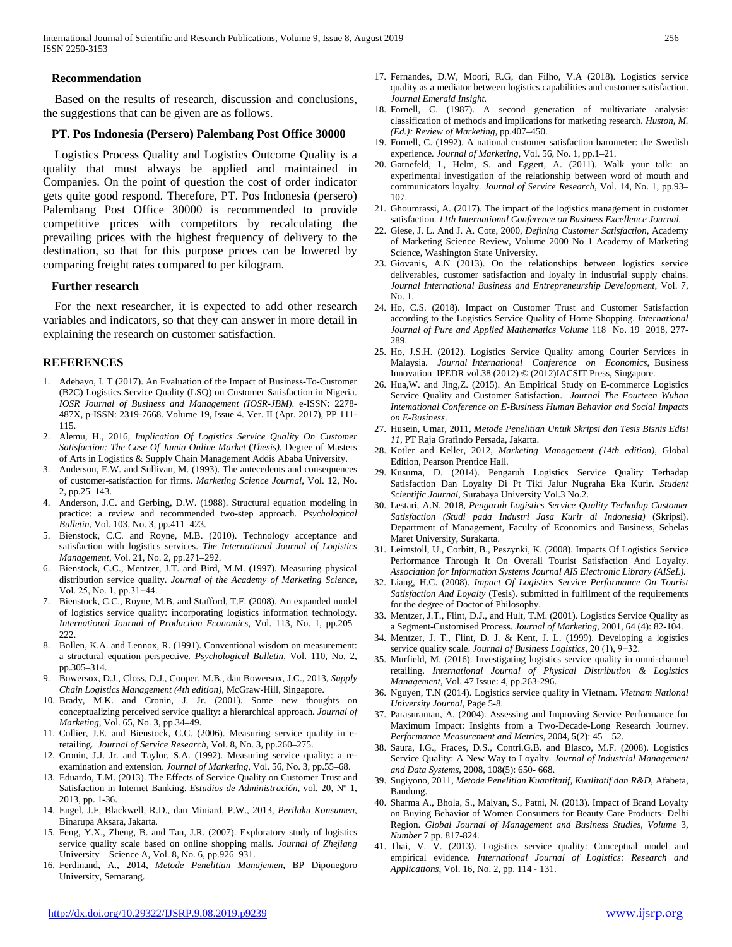International Journal of Scientific and Research Publications, Volume 9, Issue 8, August 2019 256 ISSN 2250-3153

#### **Recommendation**

Based on the results of research, discussion and conclusions, the suggestions that can be given are as follows.

#### **PT. Pos Indonesia (Persero) Palembang Post Office 30000**

Logistics Process Quality and Logistics Outcome Quality is a quality that must always be applied and maintained in Companies. On the point of question the cost of order indicator gets quite good respond. Therefore, PT. Pos Indonesia (persero) Palembang Post Office 30000 is recommended to provide competitive prices with competitors by recalculating the prevailing prices with the highest frequency of delivery to the destination, so that for this purpose prices can be lowered by comparing freight rates compared to per kilogram.

#### **Further research**

For the next researcher, it is expected to add other research variables and indicators, so that they can answer in more detail in explaining the research on customer satisfaction.

#### **REFERENCES**

- 1. Adebayo, I. T (2017). An Evaluation of the Impact of Business-To-Customer (B2C) Logistics Service Quality (LSQ) on Customer Satisfaction in Nigeria. *IOSR Journal of Business and Management (IOSR-JBM)*. e-ISSN: 2278- 487X, p-ISSN: 2319-7668. Volume 19, Issue 4. Ver. II (Apr. 2017), PP 111- 115.
- 2. Alemu, H., 2016, *Implication Of Logistics Service Quality On Customer Satisfaction: The Case Of Jumia Online Market* (*Thesis).* Degree of Masters of Arts in Logistics & Supply Chain Management Addis Ababa University.
- 3. Anderson, E.W. and Sullivan, M. (1993). The antecedents and consequences of customer-satisfaction for firms. *Marketing Science Journal*, Vol. 12, No. 2, pp.25–143.
- 4. Anderson, J.C. and Gerbing, D.W. (1988). Structural equation modeling in practice: a review and recommended two-step approach*. Psychological Bulletin*, Vol. 103, No. 3, pp.411–423.
- 5. Bienstock, C.C. and Royne, M.B. (2010). Technology acceptance and satisfaction with logistics services. *The International Journal of Logistics Management*, Vol. 21, No. 2, pp.271–292.
- 6. Bienstock, C.C., Mentzer, J.T. and Bird, M.M. (1997). Measuring physical distribution service quality. *Journal of the Academy of Marketing Science*, Vol. 25, No. 1, pp.31−44.
- 7. Bienstock, C.C., Royne, M.B. and Stafford, T.F. (2008). An expanded model of logistics service quality: incorporating logistics information technology*. International Journal of Production Economics*, Vol. 113, No. 1, pp.205– 222.
- 8. Bollen, K.A. and Lennox, R. (1991). Conventional wisdom on measurement: a structural equation perspective*. Psychological Bulletin*, Vol. 110, No. 2, pp.305–314.
- 9. Bowersox, D.J., Closs, D.J., Cooper, M.B., dan Bowersox, J.C., 2013, *Supply Chain Logistics Management (4th edition)*, McGraw-Hill, Singapore.
- 10. Brady, M.K. and Cronin, J. Jr. (2001). Some new thoughts on conceptualizing perceived service quality: a hierarchical approach*. Journal of Marketing*, Vol. 65, No. 3, pp.34–49.
- 11. Collier, J.E. and Bienstock, C.C. (2006). Measuring service quality in eretailing*. Journal of Service Research*, Vol. 8, No. 3, pp.260–275.
- 12. Cronin, J.J. Jr. and Taylor, S.A. (1992). Measuring service quality: a reexamination and extension. *Journal of Marketing*, Vol. 56, No. 3, pp.55–68.
- 13. Eduardo, T.M. (2013). The Effects of Service Quality on Customer Trust and Satisfaction in Internet Banking. *Estudios de Administración,* vol. 20, Nº 1, 2013, pp. 1-36.
- 14. Engel, J.F, Blackwell, R.D., dan Miniard, P.W., 2013, *Perilaku Konsumen*, Binarupa Aksara, Jakarta.
- 15. Feng, Y.X., Zheng, B. and Tan, J.R. (2007). Exploratory study of logistics service quality scale based on online shopping malls*. Journal of Zhejiang*  University – Science A, Vol. 8, No. 6, pp.926–931.
- 16. Ferdinand, A., 2014, *Metode Penelitian Manajemen,* BP Diponegoro University, Semarang.
- 17. Fernandes, D.W*,* Moori, R.G, dan Filho, V.A (2018). Logistics service quality as a mediator between logistics capabilities and customer satisfaction. *Journal Emerald Insight.*
- 18. Fornell, C. (1987). A second generation of multivariate analysis: classification of methods and implications for marketing research*. Huston, M. (Ed.): Review of Marketing*, pp.407–450.
- 19. Fornell, C. (1992). A national customer satisfaction barometer: the Swedish experience*. Journal of Marketing*, Vol. 56, No. 1, pp.1–21.
- 20. Garnefeld, I., Helm, S. and Eggert, A. (2011). Walk your talk: an experimental investigation of the relationship between word of mouth and communicators loyalty*. Journal of Service Research*, Vol. 14, No. 1, pp.93– 107.
- 21. Ghoumrassi, A. (2017). The impact of the logistics management in customer satisfaction. *11th International Conference on Business Excellence Journal.*
- 22. Giese, J. L. And J. A. Cote, 2000, *Defining Customer Satisfaction*, Academy of Marketing Science Review, Volume 2000 No 1 Academy of Marketing Science, Washington State University.
- 23. Giovanis, A.N (2013). On the relationships between logistics service deliverables, customer satisfaction and loyalty in industrial supply chains*. Journal International Business and Entrepreneurship Development,* Vol. 7, No. 1.
- 24. Ho, C.S. (2018). Impact on Customer Trust and Customer Satisfaction according to the Logistics Service Quality of Home Shopping. *International Journal of Pure and Applied Mathematics Volume* 118 No. 19 2018, 277- 289.
- 25. Ho, J.S.H. (2012). Logistics Service Quality among Courier Services in Malaysia. *Journal International Conference on Economics,* Business Innovation IPEDR vol.38 (2012) © (2012)IACSIT Press, Singapore.
- 26. Hua,W. and Jing,Z. (2015). An Empirical Study on E-commerce Logistics Service Quality and Customer Satisfaction. *Journal The Fourteen Wuhan Intemational Conference on E-Business Human Behavior and Social Impacts on E-Business*.
- 27. Husein, Umar, 2011, *Metode Penelitian Untuk Skripsi dan Tesis Bisnis Edisi 11*, PT Raja Grafindo Persada, Jakarta.
- 28. Kotler and Keller, 2012, *Marketing Management (14th edition)*, Global Edition, Pearson Prentice Hall.
- 29. Kusuma, D. (2014). Pengaruh Logistics Service Quality Terhadap Satisfaction Dan Loyalty Di Pt Tiki Jalur Nugraha Eka Kurir. *Student Scientific Journal*, Surabaya University Vol.3 No.2.
- 30. Lestari, A.N, 2018, *Pengaruh Logistics Service Quality Terhadap Customer Satisfaction (Studi pada Industri Jasa Kurir di Indonesia)* (Skripsi). Department of Management, Faculty of Economics and Business, Sebelas Maret University, Surakarta.
- 31. Leimstoll, U., Corbitt, B., Peszynki, K. (2008). Impacts Of Logistics Service Performance Through It On Overall Tourist Satisfaction And Loyalty. *Association for Information Systems Journal AIS Electronic Library (AISeL).*
- 32. Liang, H.C. (2008). *Impact Of Logistics Service Performance On Tourist Satisfaction And Loyalty* (Tesis). submitted in fulfilment of the requirements for the degree of Doctor of Philosophy.
- 33. Mentzer, J.T., Flint, D.J., and Hult, T.M. (2001). Logistics Service Quality as a Segment-Customised Process. *Journal of Marketing,* 2001, 64 (4): 82-104.
- 34. Mentzer, J. T., Flint, D. J. & Kent, J. L. (1999). Developing a logistics service quality scale. *Journal of Business Logistics*, 20 (1), 9−32.
- 35. Murfield, M. (2016). Investigating logistics service quality in omni-channel retailing. *International Journal of Physical Distribution & Logistics Management*, Vol. 47 Issue: 4, pp.263-296.
- 36. Nguyen, T.N (2014). Logistics service quality in Vietnam. *Vietnam National University Journal,* Page 5-8.
- 37. Parasuraman, A. (2004). Assessing and Improving Service Performance for Maximum Impact: Insights from a Two-Decade-Long Research Journey. *Performance Measurement and Metrics*, 2004, **5**(2): 45 – 52.
- 38. Saura, I.G., Fraces, D.S., Contri.G.B. and Blasco, M.F. (2008). Logistics Service Quality: A New Way to Loyalty. *Journal of Industrial Management and Data Systems*, 2008, 108**(**5): 650- 668.
- 39. Sugiyono, 2011, *Metode Penelitian Kuantitatif, Kualitatif dan R&D*, Afabeta, Bandung.
- 40. Sharma A., Bhola, S., Malyan, S., Patni, N. (2013). Impact of Brand Loyalty on Buying Behavior of Women Consumers for Beauty Care Products- Delhi Region. *Global Journal of Management and Business Studies*, *Volume* 3, *Number* 7 pp. 817-824.
- 41. Thai, V. V. (2013). Logistics service quality: Conceptual model and empirical evidence. *International Journal of Logistics: Research and Applications*, Vol. 16, No. 2, pp. 114 ‐ 131.